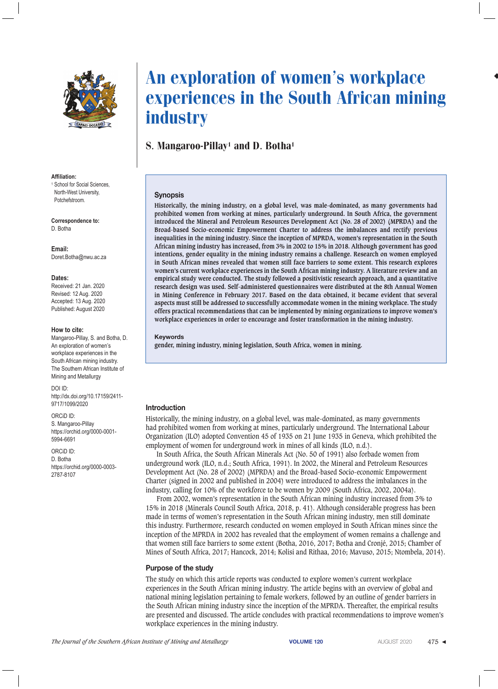

#### **Affiliation:**

<sup>1</sup> School for Social Sciences, North-West University, Potchefstroom.

**Correspondence to:** D. Botha

**Email:** Doret.Botha@nwu.ac.za

#### **Dates:**

Received: 21 Jan. 2020 Revised: 12 Aug. 2020 Accepted: 13 Aug. 2020 Published: August 2020

#### **How to cite:**

Mangaroo-Pillay, S. and Botha, D. An exploration of women's workplace experiences in the South African mining industry. The Southern African Institute of Mining and Metallurgy

DOI ID: http://dx.doi.org/10.17159/2411- 9717/1099/2020

ORCiD ID: S. Mangaroo-Pillay https://orchid.org/0000-0001- 5994-6691

ORCiD ID: D. Botha https://orchid.org/0000-0003- 2787-8107

# An exploration of women's workplace experiences in the South African mining industry

### S. Mangaroo-Pillay<sup>1</sup> and D. Botha<sup>1</sup>

### **Synopsis**

**Historically, the mining industry, on a global level, was male-dominated, as many governments had prohibited women from working at mines, particularly underground. In South Africa, the government introduced the Mineral and Petroleum Resources Development Act (No. 28 of 2002) (MPRDA) and the Broad-based Socio-economic Empowerment Charter to address the imbalances and rectify previous inequalities in the mining industry. Since the inception of MPRDA, women's representation in the South African mining industry has increased, from 3% in 2002 to 15% in 2018. Although government has good intentions, gender equality in the mining industry remains a challenge. Research on women employed in South African mines revealed that women still face barriers to some extent. This research explores women's current workplace experiences in the South African mining industry. A literature review and an empirical study were conducted. The study followed a positivistic research approach, and a quantitative research design was used. Self-administered questionnaires were distributed at the 8th Annual Women in Mining Conference in February 2017. Based on the data obtained, it became evident that several aspects must still be addressed to successfully accommodate women in the mining workplace. The study offers practical recommendations that can be implemented by mining organizations to improve women's workplace experiences in order to encourage and foster transformation in the mining industry.**

#### **Keywords**

**gender, mining industry, mining legislation, South Africa, women in mining.**

### **Introduction**

Historically, the mining industry, on a global level, was male-dominated, as many governments had prohibited women from working at mines, particularly underground. The International Labour Organization (ILO) adopted Convention 45 of 1935 on 21 June 1935 in Geneva, which prohibited the employment of women for underground work in mines of all kinds (ILO, n.d.).

In South Africa, the South African Minerals Act (No. 50 of 1991) also forbade women from underground work (ILO, n.d.; South Africa, 1991). In 2002, the Mineral and Petroleum Resources Development Act (No. 28 of 2002) (MPRDA) and the Broad-based Socio-economic Empowerment Charter (signed in 2002 and published in 2004) were introduced to address the imbalances in the industry, calling for 10% of the workforce to be women by 2009 (South Africa, 2002, 2004a).

From 2002, women's representation in the South African mining industry increased from 3% to 15% in 2018 (Minerals Council South Africa, 2018, p. 41). Although considerable progress has been made in terms of women's representation in the South African mining industry, men still dominate this industry. Furthermore, research conducted on women employed in South African mines since the inception of the MPRDA in 2002 has revealed that the employment of women remains a challenge and that women still face barriers to some extent (Botha, 2016, 2017; Botha and Cronjé, 2015; Chamber of Mines of South Africa, 2017; Hancock, 2014; Kolisi and Rithaa, 2016; Mavuso, 2015; Ntombela, 2014).

### **Purpose of the study**

The study on which this article reports was conducted to explore women's current workplace experiences in the South African mining industry. The article begins with an overview of global and national mining legislation pertaining to female workers, followed by an outline of gender barriers in the South African mining industry since the inception of the MPRDA. Thereafter, the empirical results are presented and discussed. The article concludes with practical recommendations to improve women's workplace experiences in the mining industry.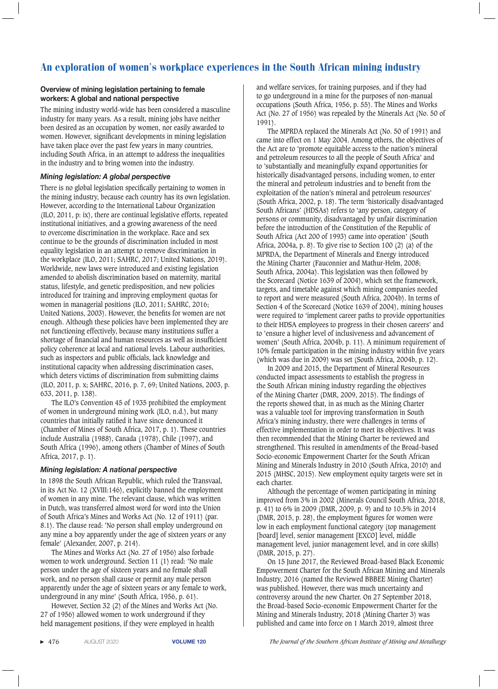### **Overview of mining legislation pertaining to female workers: A global and national perspective**

The mining industry world-wide has been considered a masculine industry for many years. As a result, mining jobs have neither been desired as an occupation by women, nor easily awarded to women. However, significant developments in mining legislation have taken place over the past few years in many countries, including South Africa, in an attempt to address the inequalities in the industry and to bring women into the industry.

### *Mining legislation: A global perspective*

There is no global legislation specifically pertaining to women in the mining industry, because each country has its own legislation. However, according to the International Labour Organization (ILO, 2011, p: ix), there are continual legislative efforts, repeated institutional initiatives, and a growing awareness of the need to overcome discrimination in the workplace. Race and sex continue to be the grounds of discrimination included in most equality legislation in an attempt to remove discrimination in the workplace (ILO, 2011; SAHRC, 2017; United Nations, 2019). Worldwide, new laws were introduced and existing legislation amended to abolish discrimination based on maternity, marital status, lifestyle, and genetic predisposition, and new policies introduced for training and improving employment quotas for women in managerial positions (ILO, 2011; SAHRC, 2016; United Nations, 2003). However, the benefits for women are not enough. Although these policies have been implemented they are not functioning effectively, because many institutions suffer a shortage of financial and human resources as well as insufficient policy coherence at local and national levels. Labour authorities, such as inspectors and public officials, lack knowledge and institutional capacity when addressing discrimination cases, which deters victims of discrimination from submitting claims (ILO, 2011, p. x; SAHRC, 2016, p. 7, 69; United Nations, 2003, p. 633, 2011, p. 138).

The ILO's Convention 45 of 1935 prohibited the employment of women in underground mining work (ILO, n.d.), but many countries that initially ratified it have since denounced it (Chamber of Mines of South Africa, 2017, p. 1). These countries include Australia (1988), Canada (1978), Chile (1997), and South Africa (1996), among others (Chamber of Mines of South Africa, 2017, p. 1).

### *Mining legislation: A national perspective*

In 1898 the South African Republic, which ruled the Transvaal, in its Act No. 12 (XVIII:146), explicitly banned the employment of women in any mine. The relevant clause, which was written in Dutch, was transferred almost word for word into the Union of South Africa's Mines and Works Act (No. 12 of 1911) (par. 8.1). The clause read: 'No person shall employ underground on any mine a boy apparently under the age of sixteen years or any female' (Alexander, 2007, p. 214).

The Mines and Works Act (No. 27 of 1956) also forbade women to work underground. Section 11 (1) read: 'No male person under the age of sixteen years and no female shall work, and no person shall cause or permit any male person apparently under the age of sixteen years or any female to work, underground in any mine' (South Africa, 1956, p. 61).

However, Section 32 (2) of the Mines and Works Act (No. 27 of 1956) allowed women to work underground if they held management positions, if they were employed in health

and welfare services, for training purposes, and if they had to go underground in a mine for the purposes of non-manual occupations (South Africa, 1956, p. 55). The Mines and Works Act (No. 27 of 1956) was repealed by the Minerals Act (No. 50 of 1991).

The MPRDA replaced the Minerals Act (No. 50 of 1991) and came into effect on 1 May 2004. Among others, the objectives of the Act are to 'promote equitable access to the nation's mineral and petroleum resources to all the people of South Africa' and to 'substantially and meaningfully expand opportunities for historically disadvantaged persons, including women, to enter the mineral and petroleum industries and to benefit from the exploitation of the nation's mineral and petroleum resources' (South Africa, 2002, p. 18). The term 'historically disadvantaged South Africans' (HDSAs) refers to 'any person, category of persons or community, disadvantaged by unfair discrimination before the introduction of the Constitution of the Republic of South Africa (Act 200 of 1993) came into operation' (South Africa, 2004a, p. 8). To give rise to Section 100 (2) (a) of the MPRDA, the Department of Minerals and Energy introduced the Mining Charter (Fauconnier and Mathur-Helm, 2008; South Africa, 2004a). This legislation was then followed by the Scorecard (Notice 1639 of 2004), which set the framework, targets, and timetable against which mining companies needed to report and were measured (South Africa, 2004b). In terms of Section 4 of the Scorecard (Notice 1639 of 2004), mining houses were required to 'implement career paths to provide opportunities to their HDSA employees to progress in their chosen careers' and to 'ensure a higher level of inclusiveness and advancement of women' (South Africa, 2004b, p. 11). A minimum requirement of 10% female participation in the mining industry within five years (which was due in 2009) was set (South Africa, 2004b, p. 12).

In 2009 and 2015, the Department of Mineral Resources conducted impact assessments to establish the progress in the South African mining industry regarding the objectives of the Mining Charter (DMR, 2009, 2015). The findings of the reports showed that, in as much as the Mining Charter was a valuable tool for improving transformation in South Africa's mining industry, there were challenges in terms of effective implementation in order to meet its objectives. It was then recommended that the Mining Charter be reviewed and strengthened. This resulted in amendments of the Broad-based Socio-economic Empowerment Charter for the South African Mining and Minerals Industry in 2010 (South Africa, 2010) and 2015 (MHSC, 2015). New employment equity targets were set in each charter.

Although the percentage of women participating in mining improved from 3% in 2002 (Minerals Council South Africa, 2018, p. 41) to 6% in 2009 (DMR, 2009, p. 9) and to 10.5% in 2014 (DMR, 2015, p. 28), the employment figures for women were low in each employment functional category (top management [board] level, senior management [EXCO] level, middle management level, junior management level, and in core skills) (DMR, 2015, p. 27).

On 15 June 2017, the Reviewed Broad-based Black Economic Empowerment Charter for the South African Mining and Minerals Industry, 2016 (named the Reviewed BBBEE Mining Charter) was published. However, there was much uncertainty and controversy around the new Charter. On 27 September 2018, the Broad-based Socio-economic Empowerment Charter for the Mining and Minerals Industry, 2018 (Mining Charter 3) was published and came into force on 1 March 2019, almost three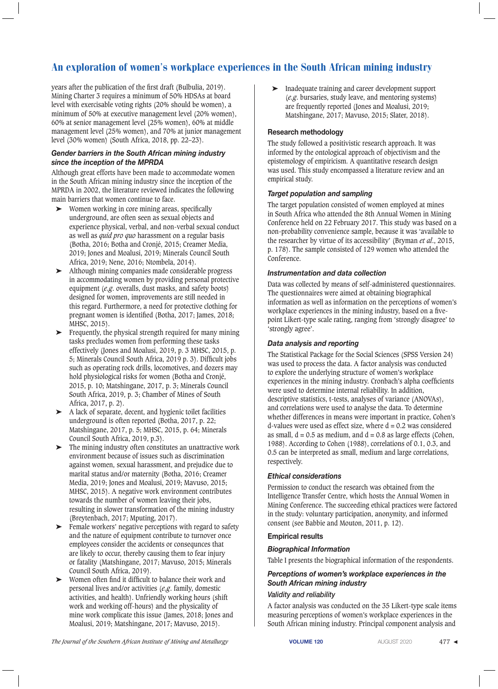years after the publication of the first draft (Bulbulia, 2019). Mining Charter 3 requires a minimum of 50% HDSAs at board level with exercisable voting rights (20% should be women), a minimum of 50% at executive management level (20% women), 60% at senior management level (25% women), 60% at middle management level (25% women), and 70% at junior management level (30% women) (South Africa, 2018, pp. 22–23).

### *Gender barriers in the South African mining industry since the inception of the MPRDA*

Although great efforts have been made to accommodate women in the South African mining industry since the inception of the MPRDA in 2002, the literature reviewed indicates the following main barriers that women continue to face.

- Women working in core mining areas, specifically underground, are often seen as sexual objects and experience physical, verbal, and non-verbal sexual conduct as well as *quid pro quo* harassment on a regular basis (Botha, 2016; Botha and Cronjé, 2015; Creamer Media, 2019; Jones and Moalusi, 2019; Minerals Council South Africa, 2019; Nene, 2016; Ntombela, 2014).
- ➤ Although mining companies made considerable progress in accommodating women by providing personal protective equipment (*e.g*. overalls, dust masks, and safety boots) designed for women, improvements are still needed in this regard. Furthermore, a need for protective clothing for pregnant women is identified (Botha, 2017; James, 2018; MHSC, 2015).
- ➤ Frequently, the physical strength required for many mining tasks precludes women from performing these tasks effectively (Jones and Moalusi, 2019, p. 3 MHSC, 2015, p. 5; Minerals Council South Africa, 2019 p. 3). Difficult jobs such as operating rock drills, locomotives, and dozers may hold physiological risks for women (Botha and Cronjé, 2015, p. 10; Matshingane, 2017, p. 3; Minerals Council South Africa, 2019, p. 3; Chamber of Mines of South Africa, 2017, p. 2).
- ➤ A lack of separate, decent, and hygienic toilet facilities underground is often reported (Botha, 2017, p. 22; Matshingane, 2017, p. 5; MHSC, 2015, p. 64; Minerals Council South Africa, 2019, p.3).
- ➤ The mining industry often constitutes an unattractive work environment because of issues such as discrimination against women, sexual harassment, and prejudice due to marital status and/or maternity (Botha, 2016; Creamer Media, 2019; Jones and Moalusi, 2019; Mavuso, 2015; MHSC, 2015). A negative work environment contributes towards the number of women leaving their jobs, resulting in slower transformation of the mining industry (Breytenbach, 2017; Mputing, 2017).
- ➤ Female workers' negative perceptions with regard to safety and the nature of equipment contribute to turnover once employees consider the accidents or consequnces that are likely to occur, thereby causing them to fear injury or fatality (Matshingane, 2017; Mavuso, 2015; Minerals Council South Africa, 2019).
- ➤ Women often find it difficult to balance their work and personal lives and/or activities (*e.g*. family, domestic activities, and health). Unfriendly working hours (shift work and working off-hours) and the physicality of mine work complicate this issue (James, 2018; Jones and Moalusi, 2019; Matshingane, 2017; Mavuso, 2015).

➤ Inadequate training and career development support (*e.g*. bursaries, study leave, and mentoring systems) are frequently reported (Jones and Moalusi, 2019; Matshingane, 2017; Mavuso, 2015; Slater, 2018).

### **Research methodology**

The study followed a positivistic research approach. It was informed by the ontological approach of objectivism and the epistemology of empiricism. A quantitative research design was used. This study encompassed a literature review and an empirical study.

### *Target population and sampling*

The target population consisted of women employed at mines in South Africa who attended the 8th Annual Women in Mining Conference held on 22 February 2017. This study was based on a non-probability convenience sample, because it was 'available to the researcher by virtue of its accessibility' (Bryman *et al*., 2015, p. 178). The sample consisted of 129 women who attended the Conference.

### *Instrumentation and data collection*

Data was collected by means of self-administered questionnaires. The questionnaires were aimed at obtaining biographical information as well as information on the perceptions of women's workplace experiences in the mining industry, based on a fivepoint Likert-type scale rating, ranging from 'strongly disagree' to 'strongly agree'.

### *Data analysis and reporting*

The Statistical Package for the Social Sciences (SPSS Version 24) was used to process the data. A factor analysis was conducted to explore the underlying structure of women's workplace experiences in the mining industry. Cronbach's alpha coefficients were used to determine internal reliability. In addition, descriptive statistics, t-tests, analyses of variance (ANOVAs), and correlations were used to analyse the data. To determine whether differences in means were important in practice, Cohen's d-values were used as effect size, where  $d = 0.2$  was considered as small,  $d = 0.5$  as medium, and  $d = 0.8$  as large effects (Cohen, 1988). According to Cohen (1988), correlations of 0.1, 0.3, and 0.5 can be interpreted as small, medium and large correlations, respectively.

### *Ethical considerations*

Permission to conduct the research was obtained from the Intelligence Transfer Centre, which hosts the Annual Women in Mining Conference. The succeeding ethical practices were factored in the study: voluntary participation, anonymity, and informed consent (see Babbie and Mouton, 2011, p. 12).

### **Empirical results**

### *Biographical Information*

Table I presents the biographical information of the respondents.

### *Perceptions of women's workplace experiences in the South African mining industry*

### *Validity and reliability*

A factor analysis was conducted on the 35 Likert-type scale items measuring perceptions of women's workplace experiences in the South African mining industry. Principal component analysis and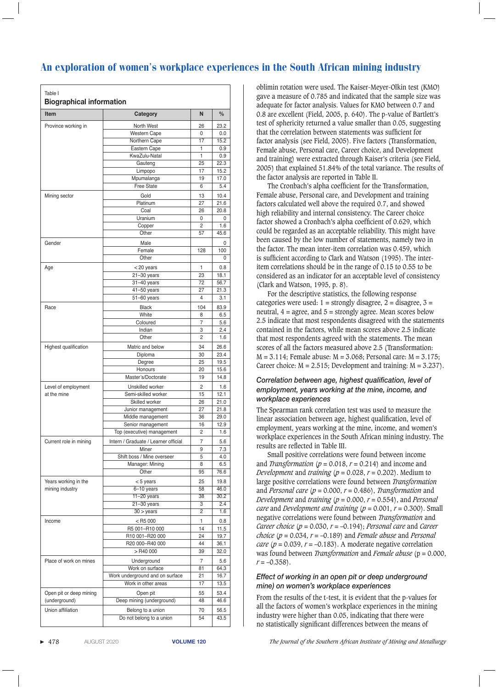| <b>Item</b>                                                 | Category                                               | N        | $\frac{0}{0}$                                                                                            |
|-------------------------------------------------------------|--------------------------------------------------------|----------|----------------------------------------------------------------------------------------------------------|
| Province working in                                         | North West                                             | 26       | 23.2                                                                                                     |
|                                                             | <b>Western Cape</b>                                    | 0        | 0.0                                                                                                      |
|                                                             | Northern Cape                                          | 17       | 15.2                                                                                                     |
|                                                             | Eastern Cape                                           | 1        | 0.9                                                                                                      |
|                                                             | KwaZulu-Natal                                          | 1        | 0.9                                                                                                      |
|                                                             | Gauteng                                                | 25       | 22.3                                                                                                     |
|                                                             | Limpopo                                                | 17       | 15.2                                                                                                     |
|                                                             | Mpumalanga<br><b>Free State</b>                        | 19<br>6  | 17.0<br>5.4                                                                                              |
|                                                             |                                                        |          |                                                                                                          |
| Mining sector                                               | Gold                                                   | 13       | 10.4                                                                                                     |
|                                                             | Platinum<br>Coal                                       | 27<br>26 | 21.6<br>20.8                                                                                             |
|                                                             | Uranium                                                | 0        | 0                                                                                                        |
|                                                             | Copper                                                 | 2        | 1.6                                                                                                      |
|                                                             | Other                                                  | 57       | 45.6                                                                                                     |
| Gender                                                      | Male                                                   |          | 0                                                                                                        |
|                                                             | Female                                                 | 128      | 100                                                                                                      |
|                                                             | Other                                                  |          | 0                                                                                                        |
| Age                                                         | < 20 years                                             | 1        | 0.8                                                                                                      |
|                                                             | $21 - 30$ years                                        | 23       | 18.1                                                                                                     |
|                                                             | 31-40 years                                            | 72       | 56.7                                                                                                     |
|                                                             | $41 - 50$ years                                        | 27       | 21.3                                                                                                     |
|                                                             | $51 - 60$ years                                        | 4        | 3.1                                                                                                      |
| Race                                                        | <b>Black</b>                                           | 104      | 83.9                                                                                                     |
|                                                             | White                                                  | 8        | 6.5                                                                                                      |
|                                                             | Coloured                                               | 7        | 5.6                                                                                                      |
|                                                             | Indian                                                 | 3        | 2.4                                                                                                      |
|                                                             | Other                                                  | 2        | 1.6                                                                                                      |
| Highest qualification                                       | Matric and below                                       | 34       | 26.6                                                                                                     |
|                                                             | Diploma                                                | 30       | 23.4                                                                                                     |
|                                                             | Degree                                                 | 25       | 19.5                                                                                                     |
|                                                             | Honours                                                | 20       | 15.6                                                                                                     |
|                                                             | Master's/Doctorate                                     | 19       | 14.8                                                                                                     |
| Level of employment                                         | Unskilled worker                                       | 2        | 1.6                                                                                                      |
| at the mine                                                 | Semi-skilled worker                                    | 15       | 12.1                                                                                                     |
|                                                             | Skilled worker                                         | 26       | 21.0                                                                                                     |
|                                                             | Junior management                                      | 27       | 21.8                                                                                                     |
|                                                             | Middle management                                      | 36       | 29.0                                                                                                     |
|                                                             | Senior management                                      | 16       | 12.9                                                                                                     |
|                                                             | Top (executive) management                             | 2        | 1.6                                                                                                      |
| Current role in mining                                      | Intern / Graduate / Learner official                   | 7        | 5.6                                                                                                      |
|                                                             | Miner                                                  | 9        | 7.3                                                                                                      |
|                                                             | Shift boss / Mine overseer                             | 5        | 4.0                                                                                                      |
|                                                             | Manager: Mining<br>Other                               | 8<br>95  | 6.5<br>76.6                                                                                              |
|                                                             |                                                        |          |                                                                                                          |
| Years working in the                                        | $< 5$ years                                            | 25       | 19.8                                                                                                     |
| mining industry                                             | $6 - 10$ years<br>$11-20$ years                        | 58<br>38 | 46.0<br>30.2                                                                                             |
|                                                             |                                                        |          |                                                                                                          |
|                                                             |                                                        |          |                                                                                                          |
|                                                             | $21 - 30$ years                                        | 3<br>2   |                                                                                                          |
|                                                             | $30 > \text{years}$                                    |          |                                                                                                          |
|                                                             | $<$ R5 000                                             | 1        |                                                                                                          |
|                                                             | R5 001-R10 000                                         | 14<br>24 |                                                                                                          |
|                                                             | R10 001-R20 000<br>R20 000-R40 000                     | 44       |                                                                                                          |
|                                                             | > R40 000                                              | 39       |                                                                                                          |
|                                                             |                                                        |          |                                                                                                          |
|                                                             | Underground                                            | 7        |                                                                                                          |
|                                                             | Work on surface                                        | 81       |                                                                                                          |
|                                                             | Work underground and on surface<br>Work in other areas | 21<br>17 |                                                                                                          |
|                                                             |                                                        |          |                                                                                                          |
| Income<br>Place of work on mines<br>Open pit or deep mining | Open pit                                               | 55       |                                                                                                          |
| (underground)<br>Union affiliation                          | Deep mining (underground)<br>Belong to a union         | 48<br>70 | 2.4<br>1.6<br>0.8<br>11.5<br>19.7<br>36.1<br>32.0<br>5.6<br>64.3<br>16.7<br>13.5<br>53.4<br>46.6<br>56.5 |

oblimin rotation were used. The Kaiser-Meyer-Olkin test (KMO) gave a measure of 0.785 and indicated that the sample size was adequate for factor analysis. Values for KMO between 0.7 and 0.8 are excellent (Field, 2005, p. 640). The p-value of Bartlett's test of sphericity returned a value smaller than 0.05, suggesting that the correlation between statements was sufficient for factor analysis (see Field, 2005). Five factors (Transformation, Female abuse, Personal care, Career choice, and Development and training) were extracted through Kaiser's criteria (see Field, 2005) that explained 51.84% of the total variance. The results of the factor analysis are reported in Table II.

The Cronbach's alpha coefficient for the Transformation, Female abuse, Personal care, and Development and training factors calculated well above the required 0.7, and showed high reliability and internal consistency. The Career choice factor showed a Cronbach's alpha coefficient of 0.629, which could be regarded as an acceptable reliability. This might have been caused by the low number of statements, namely two in the factor. The mean inter-item correlation was 0.459, which is sufficient according to Clark and Watson (1995). The interitem correlations should be in the range of 0.15 to 0.55 to be considered as an indicator for an acceptable level of consistency (Clark and Watson, 1995, p. 8).

For the descriptive statistics, the following response categories were used:  $1 =$  strongly disagree,  $2 =$  disagree,  $3 =$ neutral,  $4 = \text{agree}$ , and  $5 = \text{strongly agree}$ . Mean scores below 2.5 indicate that most respondents disagreed with the statements contained in the factors, while mean scores above 2.5 indicate that most respondents agreed with the statements. The mean scores of all the factors measured above 2.5 (Transformation:  $M = 3.114$ ; Female abuse:  $M = 3.068$ ; Personal care:  $M = 3.175$ ; Career choice:  $M = 2.515$ ; Development and training:  $M = 3.237$ ).

### *Correlation between age, highest qualification, level of employment, years working at the mine, income, and workplace experiences*

The Spearman rank correlation test was used to measure the linear association between age, highest qualification, level of employment, years working at the mine, income, and women's workplace experiences in the South African mining industry. The results are reflected in Table III.

Small positive correlations were found between income and *Transformation* ( $p = 0.018$ ,  $r = 0.214$ ) and income and *Development* and *training* ( $p = 0.028$ ,  $r = 0.202$ ). Medium to large positive correlations were found between *Transformation*  and *Personal care* (*p* = 0.000, *r* = 0.486), *Transformation* and *Development* and *training* ( $p = 0.000$ ,  $r = 0.554$ ), and *Personal care* and *Development and training*  $(p = 0.001, r = 0.300)$ . Small negative correlations were found between *Transformation* and *Career choice* (*p* = 0.030, *r* = –0.194); *Personal care* and *Career choice* ( $p = 0.034$ ,  $r = -0.189$ ) and *Female abuse* and *Personal care* ( $p = 0.039$ ,  $r = -0.183$ ). A moderate negative correlation was found between *Transformation* and *Female abuse* (p = 0.000,  $r = -0.358$ .

### *Effect of working in an open pit or deep underground mine) on women's workplace experiences*

From the results of the t-test, it is evident that the p-values for all the factors of women's workplace experiences in the mining industry were higher than 0.05, indicating that there were no statistically significant differences between the means of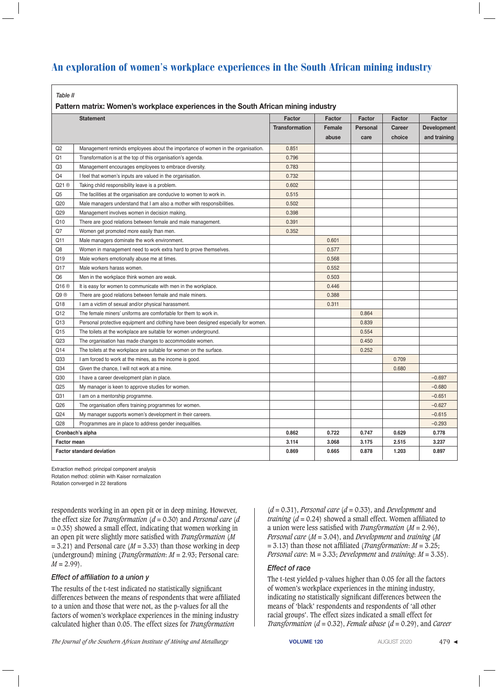|  |  | ۰,<br>v<br>۰,<br>. .<br>× |  |
|--|--|---------------------------|--|
|--|--|---------------------------|--|

 **Pattern matrix: Women's workplace experiences in the South African mining industry**

|                                  | <b>Statement</b>                                                                    | Factor                | Factor | Factor          | Factor | Factor             |
|----------------------------------|-------------------------------------------------------------------------------------|-----------------------|--------|-----------------|--------|--------------------|
|                                  |                                                                                     | <b>Transformation</b> | Female | <b>Personal</b> | Career | <b>Development</b> |
|                                  |                                                                                     |                       | abuse  | care            | choice | and training       |
| Q <sub>2</sub>                   | Management reminds employees about the importance of women in the organisation.     | 0.851                 |        |                 |        |                    |
| Q1                               | Transformation is at the top of this organisation's agenda.                         | 0.796                 |        |                 |        |                    |
| Q <sub>3</sub>                   | Management encourages employees to embrace diversity.                               | 0.783                 |        |                 |        |                    |
| Q4                               | I feel that women's inputs are valued in the organisation.                          | 0.732                 |        |                 |        |                    |
| Q21 ®                            | Taking child responsibility leave is a problem.                                     | 0.602                 |        |                 |        |                    |
| Q5                               | The facilities at the organisation are conducive to women to work in.               | 0.515                 |        |                 |        |                    |
| Q20                              | Male managers understand that I am also a mother with responsibilities.             | 0.502                 |        |                 |        |                    |
| Q29                              | Management involves women in decision making.                                       | 0.398                 |        |                 |        |                    |
| Q10                              | There are good relations between female and male management.                        | 0.391                 |        |                 |        |                    |
| Q7                               | Women get promoted more easily than men.                                            | 0.352                 |        |                 |        |                    |
| Q11                              | Male managers dominate the work environment.                                        |                       | 0.601  |                 |        |                    |
| Q8                               | Women in management need to work extra hard to prove themselves.                    |                       | 0.577  |                 |        |                    |
| Q19                              | Male workers emotionally abuse me at times.                                         |                       | 0.568  |                 |        |                    |
| Q17                              | Male workers harass women.                                                          |                       | 0.552  |                 |        |                    |
| Q6                               | Men in the workplace think women are weak.                                          |                       | 0.503  |                 |        |                    |
| Q16 <sup>®</sup>                 | It is easy for women to communicate with men in the workplace.                      |                       | 0.446  |                 |        |                    |
| Q9 ®                             | There are good relations between female and male miners.                            |                       | 0.388  |                 |        |                    |
| Q18                              | I am a victim of sexual and/or physical harassment.                                 |                       | 0.311  |                 |        |                    |
| Q12                              | The female miners' uniforms are comfortable for them to work in.                    |                       |        | 0.864           |        |                    |
| Q13                              | Personal protective equipment and clothing have been designed especially for women. |                       |        | 0.839           |        |                    |
| Q15                              | The toilets at the workplace are suitable for women underground.                    |                       |        | 0.554           |        |                    |
| Q23                              | The organisation has made changes to accommodate women.                             |                       |        | 0.450           |        |                    |
| Q14                              | The toilets at the workplace are suitable for women on the surface.                 |                       |        | 0.252           |        |                    |
| Q33                              | I am forced to work at the mines, as the income is good.                            |                       |        |                 | 0.709  |                    |
| Q34                              | Given the chance, I will not work at a mine.                                        |                       |        |                 | 0.680  |                    |
| Q30                              | I have a career development plan in place.                                          |                       |        |                 |        | $-0.697$           |
| Q25                              | My manager is keen to approve studies for women.                                    |                       |        |                 |        | $-0.680$           |
| Q31                              | I am on a mentorship programme.                                                     |                       |        |                 |        | $-0.651$           |
| Q26                              | The organisation offers training programmes for women.                              |                       |        |                 |        | $-0.627$           |
| Q24                              | My manager supports women's development in their careers.                           |                       |        |                 |        | $-0.615$           |
| Q28                              | Programmes are in place to address gender inequalities.                             |                       |        |                 |        | $-0.293$           |
|                                  | Cronbach's alpha                                                                    | 0.862                 | 0.722  | 0.747           | 0.629  | 0.778              |
| <b>Factor mean</b>               |                                                                                     | 3.114                 | 3.068  | 3.175           | 2.515  | 3.237              |
| <b>Factor standard deviation</b> |                                                                                     | 0.869                 | 0.665  | 0.878           | 1.203  | 0.897              |

Extraction method: principal component analysis Rotation method: oblimin with Kaiser normalization

Rotation converged in 22 iterations

respondents working in an open pit or in deep mining. However, the effect size for *Transformation* (*d* = 0.30) and *Personal care* (*d*  $= 0.35$ ) showed a small effect, indicating that women working in an open pit were slightly more satisfied with *Transformation* (*M*  $= 3.21$ ) and Personal care ( $M = 3.33$ ) than those working in deep (underground) mining (*Transformation*: *M* = 2.93; Personal care:  $M = 2.99$ ).

### *Effect of affiliation to a union y*

The results of the t-test indicated no statistically significant differences between the means of respondents that were affiliated to a union and those that were not, as the p-values for all the factors of women's workplace experiences in the mining industry calculated higher than 0.05. The effect sizes for *Transformation* 

(*d* = 0.31), *Personal care* (*d* = 0.33), and *Development* and *training* (*d* = 0.24) showed a small effect. Women affiliated to a union were less satisfied with *Transformation* (*M* = 2.96), *Personal care* (*M* = 3.04), and *Development* and *training* (*M* = 3.13) than those not affiliated (*Transformation*: *M* = 3.25; *Personal care*: M = 3.33; *Development* and *training*: *M* = 3.35).

### *Effect of race*

The t-test yielded p-values higher than 0.05 for all the factors of women's workplace experiences in the mining industry, indicating no statistically significant differences between the means of 'black' respondents and respondents of 'all other racial groups'. The effect sizes indicated a small effect for *Transformation* (*d* = 0.32), *Female abuse* (*d* = 0.29), and *Career*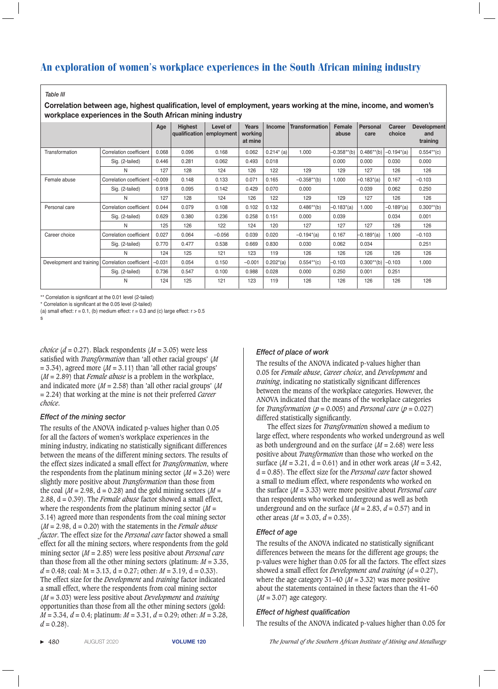#### *Table III*

 **Correlation between age, highest qualification, level of employment, years working at the mine, income, and women's workplace experiences in the South African mining industry**

|                          |                         | Age      | <b>Highest</b> | Level of<br>qualification employment | Years<br>working<br>at mine | <b>Income</b>   | <b>Transformation</b> | Female<br>abuse | Personal<br>care | Career<br>choice | <b>Development</b><br>and<br>training |
|--------------------------|-------------------------|----------|----------------|--------------------------------------|-----------------------------|-----------------|-----------------------|-----------------|------------------|------------------|---------------------------------------|
| Transformation           | Correlation coefficient | 0.068    | 0.096          | 0.168                                | 0.062                       | $0.214^{*}$ (a) | 1.000                 | $-0.358**$ (b)  | $0.486**$ (b)    | $-0.194*(a)$     | $0.554**$ (c)                         |
|                          | Sig. (2-tailed)         | 0.446    | 0.281          | 0.062                                | 0.493                       | 0.018           |                       | 0.000           | 0.000            | 0.030            | 0.000                                 |
|                          | N                       | 127      | 128            | 124                                  | 126                         | 122             | 129                   | 129             | 127              | 126              | 126                                   |
| Female abuse             | Correlation coefficient | $-0.009$ | 0.148          | 0.133                                | 0.071                       | 0.165           | $-0.358**$ (b)        | 1.000           | $-0.183^*(a)$    | 0.167            | $-0.103$                              |
|                          | Sig. (2-tailed)         | 0.918    | 0.095          | 0.142                                | 0.429                       | 0.070           | 0.000                 |                 | 0.039            | 0.062            | 0.250                                 |
|                          | N                       | 127      | 128            | 124                                  | 126                         | 122             | 129                   | 129             | 127              | 126              | 126                                   |
| Personal care            | Correlation coefficient | 0.044    | 0.079          | 0.108                                | 0.102                       | 0.132           | $0.486**$ (b)         | $-0.183^{*}(a)$ | 1.000            | $-0.189^*(a)$    | $0.300**$ (b)                         |
|                          | Sig. (2-tailed)         | 0.629    | 0.380          | 0.236                                | 0.258                       | 0.151           | 0.000                 | 0.039           |                  | 0.034            | 0.001                                 |
|                          | N                       | 125      | 126            | 122                                  | 124                         | 120             | 127                   | 127             | 127              | 126              | 126                                   |
| Career choice            | Correlation coefficient | 0.027    | 0.064          | $-0.056$                             | 0.039                       | 0.020           | $-0.194^{*}(a)$       | 0.167           | $-0.189^*(a)$    | 1.000            | $-0.103$                              |
|                          | Sig. (2-tailed)         | 0.770    | 0.477          | 0.538                                | 0.669                       | 0.830           | 0.030                 | 0.062           | 0.034            |                  | 0.251                                 |
|                          | N                       | 124      | 125            | 121                                  | 123                         | 119             | 126                   | 126             | 126              | 126              | 126                                   |
| Development and training | Correlation coefficient | $-0.031$ | 0.054          | 0.150                                | $-0.001$                    | $0.202^{*}(a)$  | $0.554**$ (c)         | $-0.103$        | $0.300**$ (b)    | $-0.103$         | 1.000                                 |
|                          | Sig. (2-tailed)         | 0.736    | 0.547          | 0.100                                | 0.988                       | 0.028           | 0.000                 | 0.250           | 0.001            | 0.251            |                                       |
|                          | N                       | 124      | 125            | 121                                  | 123                         | 119             | 126                   | 126             | 126              | 126              | 126                                   |

\*\* Correlation is significant at the 0.01 level (2-tailed)

\* Correlation is significant at the 0.05 level (2-tailed)

(a) small effect:  $r = 0.1$ , (b) medium effect:  $r = 0.3$  and (c) large effect:  $r > 0.5$ 

s

*choice* ( $d = 0.27$ ). Black respondents ( $M = 3.05$ ) were less satisfied with *Transformation* than 'all other racial groups' (*M*  $= 3.34$ ), agreed more ( $M = 3.11$ ) than 'all other racial groups' (*M* = 2.89) that *Female abuse* is a problem in the workplace, and indicated more (*M* = 2.58) than 'all other racial groups' (*M* = 2.24) that working at the mine is not their preferred *Career choice*.

### *Effect of the mining sector*

The results of the ANOVA indicated p-values higher than 0.05 for all the factors of women's workplace experiences in the mining industry, indicating no statistically significant differences between the means of the different mining sectors. The results of the effect sizes indicated a small effect for *Transformation*, where the respondents from the platinum mining sector  $(M = 3.26)$  were slightly more positive about *Transformation* than those from the coal ( $M = 2.98$ ,  $d = 0.28$ ) and the gold mining sectors ( $M =$ 2.88, d = 0.39). The *Female abuse* factor showed a small effect, where the respondents from the platinum mining sector (*M* = 3.14) agreed more than respondents from the coal mining sector  $(M = 2.98, d = 0.20)$  with the statements in the *Female abuse factor*. The effect size for the *Personal care* factor showed a small effect for all the mining sectors, where respondents from the gold mining sector (*M* = 2.85) were less positive about *Personal care* than those from all the other mining sectors (platinum:  $M = 3.35$ ,  $d = 0.48$ ; coal:  $M = 3.13$ ,  $d = 0.27$ ; other:  $M = 3.19$ ,  $d = 0.33$ ). The effect size for the *Development* and *training* factor indicated a small effect, where the respondents from coal mining sector (*M* = 3.03) were less positive about *Development* and *training* opportunities than those from all the other mining sectors (gold: *M* = 3.34, *d* = 0.4; platinum: *M* = 3.31, *d* = 0.29; other: *M* = 3.28,  $d = 0.28$ ).

### *Effect of place of work*

The results of the ANOVA indicated p-values higher than 0.05 for *Female abuse*, *Career choice*, and *Development* and *training*, indicating no statistically significant differences between the means of the workplace categories. However, the ANOVA indicated that the means of the workplace categories for *Transformation* ( $p = 0.005$ ) and *Personal care* ( $p = 0.027$ ) differed statistically significantly.

The effect sizes for *Transformatio*n showed a medium to large effect, where respondents who worked underground as well as both underground and on the surface (*M* = 2.68) were less positive about *Transformation* than those who worked on the surface ( $M = 3.21$ ,  $d = 0.61$ ) and in other work areas ( $M = 3.42$ , d = 0.85). The effect size for the *Personal care* factor showed a small to medium effect, where respondents who worked on the surface (*M* = 3.33) were more positive about *Personal care*  than respondents who worked underground as well as both underground and on the surface  $(M = 2.83, d = 0.57)$  and in other areas  $(M = 3.03, d = 0.35)$ .

### *Effect of age*

The results of the ANOVA indicated no statistically significant differences between the means for the different age groups; the p-values were higher than 0.05 for all the factors. The effect sizes showed a small effect for *Development and training* (*d* = 0.27), where the age category  $31-40$  ( $M = 3.32$ ) was more positive about the statements contained in these factors than the 41–60 (*M* = 3.07) age category.

### *Effect of highest qualification*

The results of the ANOVA indicated p-values higher than 0.05 for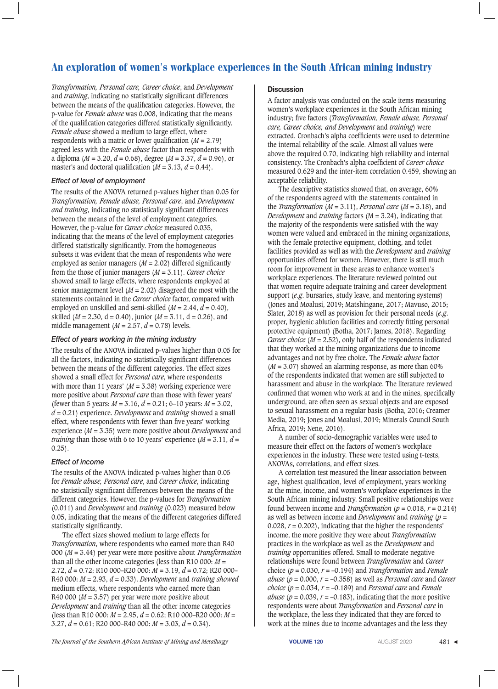*Transformation, Personal care, Career choice*, and *Development* and *training*, indicating no statistically significant differences between the means of the qualification categories. However, the p-value for *Female abuse* was 0.008, indicating that the means of the qualification categories differed statistically significantly. *Female abuse* showed a medium to large effect, where respondents with a matric or lower qualification (*M* = 2.79) agreed less with the *Female abuse* factor than respondents with a diploma (*M* = 3.20, *d* = 0.68), degree (*M* = 3.37, *d* = 0.96), or master's and doctoral qualification  $(M = 3.13, d = 0.44)$ .

### *Effect of level of employment*

The results of the ANOVA returned p-values higher than 0.05 for *Transformation, Female abuse, Personal care*, and *Development and training*, indicating no statistically significant differences between the means of the level of employment categories. However, the p-value for *Career choice* measured 0.035, indicating that the means of the level of employment categories differed statistically significantly. From the homogeneous subsets it was evident that the mean of respondents who were employed as senior managers (*M* = 2.02) differed significantly from the those of junior managers (*M* = 3.11). *Career choice*  showed small to large effects, where respondents employed at senior management level  $(M = 2.02)$  disagreed the most with the statements contained in the *Career choice* factor, compared with employed on unskilled and semi-skilled  $(M = 2.44, d = 0.40)$ , skilled ( $M = 2.30$ ,  $d = 0.40$ ), junior ( $M = 3.11$ ,  $d = 0.26$ ), and middle management  $(M = 2.57, d = 0.78)$  levels.

### *Effect of years working in the mining industry*

The results of the ANOVA indicated p-values higher than 0.05 for all the factors, indicating no statistically significant differences between the means of the different categories. The effect sizes showed a small effect for *Personal care*, where respondents with more than 11 years'  $(M = 3.38)$  working experience were more positive about *Personal care* than those with fewer years' (fewer than 5 years: *M* = 3.16, *d* = 0.21; 6–10 years: *M* = 3.02, *d* = 0.21) experience. *Development* and *training* showed a small effect, where respondents with fewer than five years' working experience (*M* = 3.35) were more positive about *Development* and *training* than those with 6 to 10 years' experience  $(M = 3.11, d =$ 0.25).

### *Effect of income*

The results of the ANOVA indicated p-values higher than 0.05 for *Female abuse, Personal care*, and *Career choice*, indicating no statistically significant differences between the means of the different categories. However, the p-values for *Transformation*  (0.011) and *Development* and *training* (0.023) measured below 0.05, indicating that the means of the different categories differed statistically significantly.

The effect sizes showed medium to large effects for *Transformation*, where respondents who earned more than R40 000 (*M* = 3.44) per year were more positive about *Transformation* than all the other income categories (less than R10 000:  $M =$ 2.72, *d* = 0.72; R10 000–R20 000: *M* = 3.19, *d* = 0.72; R20 000– R40 000: *M* = 2.93, *d* = 0.33). *Development* and *training showed* medium effects, where respondents who earned more than R40 000 ( $M = 3.57$ ) per year were more positive about *Development* and *training* than all the other income categories (less than R10 000: *M* = 2.95, *d* = 0.62; R10 000–R20 000: *M* = 3.27, *d* = 0.61; R20 000–R40 000: *M* = 3.03, *d* = 0.34).

### **Discussion**

A factor analysis was conducted on the scale items measuring women's workplace experiences in the South African mining industry; five factors (*Transformation, Female abuse, Personal care, Career choice, and Development* and *training*) were extracted. Cronbach's alpha coefficients were used to determine the internal reliability of the scale. Almost all values were above the required 0.70, indicating high reliability and internal consistency. The Cronbach's alpha coefficient of *Career choice*  measured 0.629 and the inter-item correlation 0.459, showing an acceptable reliability.

The descriptive statistics showed that, on average, 60% of the respondents agreed with the statements contained in the *Transformation* ( $M = 3.11$ ), *Personal care* ( $M = 3.18$ ), and *Development* and *training* factors (M = 3.24), indicating that the majority of the respondents were satisfied with the way women were valued and embraced in the mining organizations, with the female protective equipment, clothing, and toilet facilities provided as well as with the *Development* and *training* opportunities offered for women. However, there is still much room for improvement in these areas to enhance women's workplace experiences. The literature reviewed pointed out that women require adequate training and career development support (*e.g*. bursaries, study leave, and mentoring systems) (Jones and Moalusi, 2019; Matshingane, 2017; Mavuso, 2015; Slater, 2018) as well as provision for their personal needs (*e.g*. proper, hygienic ablution facilities and correctly fitting personal protective equipment) (Botha, 2017; James, 2018). Regarding *Career choice* ( $M = 2.52$ ), only half of the respondents indicated that they worked at the mining organizations due to income advantages and not by free choice. The *Female abuse* factor  $(M = 3.07)$  showed an alarming response, as more than 60% of the respondents indicated that women are still subjected to harassment and abuse in the workplace. The literature reviewed confirmed that women who work at and in the mines, specifically underground, are often seen as sexual objects and are exposed to sexual harassment on a regular basis (Botha, 2016; Creamer Media, 2019; Jones and Moalusi, 2019; Minerals Council South Africa, 2019; Nene, 2016).

A number of socio-demographic variables were used to measure their effect on the factors of women's workplace experiences in the industry. These were tested using t-tests, ANOVAs, correlations, and effect sizes.

A correlation test measured the linear association between age, highest qualification, level of employment, years working at the mine, income, and women's workplace experiences in the South African mining industry. Small positive relationships were found between income and *Transformation* ( $p = 0.018$ ,  $r = 0.214$ ) as well as between income and *Development* and *training* (*p* = 0.028, *r* = 0.202), indicating that the higher the respondents' income, the more positive they were about *Transformation* practices in the workplace as well as the *Development* and *training* opportunities offered. Small to moderate negative relationships were found between *Transformation* and *Career* choice  $(p = 0.030, r = -0.194)$  and *Transformation* and *Female abuse* ( $p = 0.000$ ,  $r = -0.358$ ) as well as *Personal care* and *Career choice* ( $p = 0.034$ ,  $r = -0.189$ ) and *Personal care* and *Female abuse* ( $p = 0.039$ ,  $r = -0.183$ ), indicating that the more positive respondents were about *Transformation* and *Personal care* in the workplace, the less they indicated that they are forced to work at the mines due to income advantages and the less they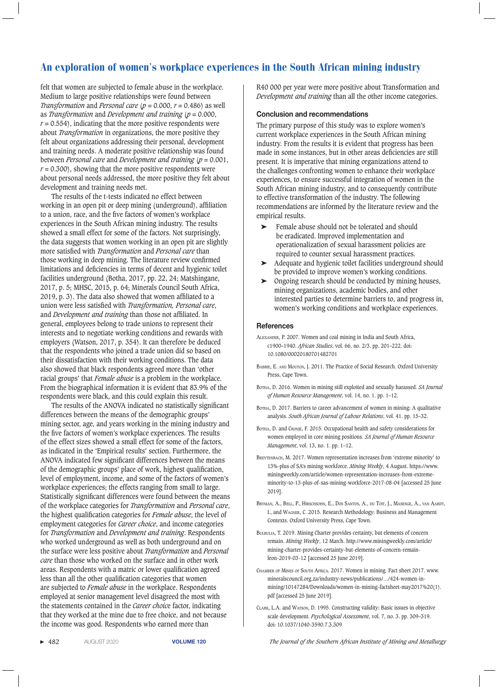felt that women are subjected to female abuse in the workplace. Medium to large positive relationships were found between *Transformation* and *Personal care* ( $p = 0.000$ ,  $r = 0.486$ ) as well as *Transformation* and *Development and training* (*p* = 0.000,  $r = 0.554$ , indicating that the more positive respondents were about *Transformation* in organizations, the more positive they felt about organizations addressing their personal, development and training needs. A moderate positive relationship was found between *Personal care* and *Development and training* (*p* = 0.001,  $r = 0.300$ , showing that the more positive respondents were about personal needs addressed, the more positive they felt about development and training needs met.

The results of the t-tests indicated no effect between working in an open pit or deep mining (underground), affiliation to a union, race, and the five factors of women's workplace experiences in the South African mining industry. The results showed a small effect for some of the factors. Not surprisingly, the data suggests that women working in an open pit are slightly more satisfied with *Transformation* and *Personal care* than those working in deep mining. The literature review confirmed limitations and deficiencies in terms of decent and hygienic toilet facilities underground (Botha, 2017, pp. 22, 24; Matshingane, 2017, p. 5; MHSC, 2015, p. 64; Minerals Council South Africa, 2019, p. 3). The data also showed that women affiliated to a union were less satisfied with *Transformation, Personal care*, and *Development and training* than those not affiliated. In general, employees belong to trade unions to represent their interests and to negotiate working conditions and rewards with employers (Watson, 2017, p. 354). It can therefore be deduced that the respondents who joined a trade union did so based on their dissatisfaction with their working conditions. The data also showed that black respondents agreed more than 'other racial groups' that *Female abuse* is a problem in the workplace. From the biographical information it is evident that 83.9% of the respondents were black, and this could explain this result.

The results of the ANOVA indicated no statistically significant differences between the means of the demographic groups' mining sector, age, and years working in the mining industry and the five factors of women's workplace experiences. The results of the effect sizes showed a small effect for some of the factors, as indicated in the 'Empirical results' section. Furthermore, the ANOVA indicated few significant differences between the means of the demographic groups' place of work, highest qualification, level of employment, income, and some of the factors of women's workplace experiences; the effects ranging from small to large. Statistically significant differences were found between the means of the workplace categories for *Transformation* and *Personal care*, the highest qualification categories for *Female abuse*, the level of employment categories for *Career choice*, and income categories for *Transformation* and *Development and training*. Respondents who worked underground as well as both underground and on the surface were less positive about *Transformation* and *Personal care* than those who worked on the surface and in other work areas. Respondents with a matric or lower qualification agreed less than all the other qualification categories that women are subjected to *Female abuse* in the workplace. Respondents employed at senior management level disagreed the most with the statements contained in the *Career choic*e factor, indicating that they worked at the mine due to free choice, and not because the income was good. Respondents who earned more than

R40 000 per year were more positive about Transformation and *Development and training* than all the other income categories.

#### **Conclusion and recommendations**

The primary purpose of this study was to explore women's current workplace experiences in the South African mining industry. From the results it is evident that progress has been made in some instances, but in other areas deficiencies are still present. It is imperative that mining organizations attend to the challenges confronting women to enhance their workplace experiences, to ensure successful integration of women in the South African mining industry, and to consequently contribute to effective transformation of the industry. The following recommendations are informed by the literature review and the empirical results.

- ➤ Female abuse should not be tolerated and should be eradicated. Improved implementation and operationalization of sexual harassment policies are required to counter sexual harassment practices.
- ➤ Adequate and hygienic toilet facilities underground should be provided to improve women's working conditions.
- ➤ Ongoing research should be conducted by mining houses, mining organizations, academic bodies, and other interested parties to determine barriers to, and progress in, women's working conditions and workplace experiences.

#### **References**

- Alexander, P. 2007. Women and coal mining in India and South Africa, c1900–1940. *African Studies*, vol. 66, no. 2/3. pp. 201–222. doi: 10.1080/00020180701482701
- Babbie, E. and Mouton, J. 2011. The Practice of Social Research. Oxford University Press, Cape Town.
- Botha, D. 2016. Women in mining still exploited and sexually harassed. *SA Journal of Human Resource Management*, vol. 14, no. 1. pp. 1–12.
- BOTHA, D. 2017. Barriers to career advancement of women in mining: A qualitative analysis. *South African Journal of Labour Relations*, vol. 41. pp. 15–32.
- BOTHA, D. and CRONJÉ, F. 2015. Occupational health and safety considerations for women employed in core mining positions. *SA Journal of Human Resource Management*, vol. 13, no. 1. pp. 1–12.
- Breytenbach, M. 2017. Women representation increases from 'extreme minority' to 13%-plus of SA's mining workforce. *Mining Weekly*, 4 August. https://www. miningweekly.com/article/women-representation-increases-from-extrememinority-to-13-plus-of-sas-mining-workforce-2017-08-04 [accessed 25 June 2019].
- BRYMAN, A., BELL, P., HIRSCHSOHN, E., DOS SANTOS, A., DU TOIT, J., MASENGE, A., VAN AARDT, I., and Wagner, C. 2015. Research Methodology: Business and Management Contexts. Oxford University Press, Cape Town.
- BULBULIA, T. 2019. Mining Charter provides certainty, but elements of concern remain. *Mining Weekly*, 12 March. http://www.miningweekly.com/article/ mining-charter-provides-certainty-but-elements-of-concern-remainleon-2019-03-12 [accessed 25 June 2019].
- Chamber of Mines of South Africa. 2017. Women in mining. Fact sheet 2017. www. mineralscouncil.org.za/industry-news/publications/…/424-women-inmining/10147284/Downloads/women-in-mining-factsheet-may2017%20(1). pdf [accessed 25 June 2019].
- Clark, L.A. and Watson, D. 1995. Constructing validity: Basic issues in objective scale development. *Psychological Assessment*, vol. 7, no. 3. pp. 309–319. doi: 10.1037/1040-3590.7.3.309

▶ 482 AUGUST 2020 **VOLUME 120** *The Journal of the Southern African Institute of Mining and Metallurgy*